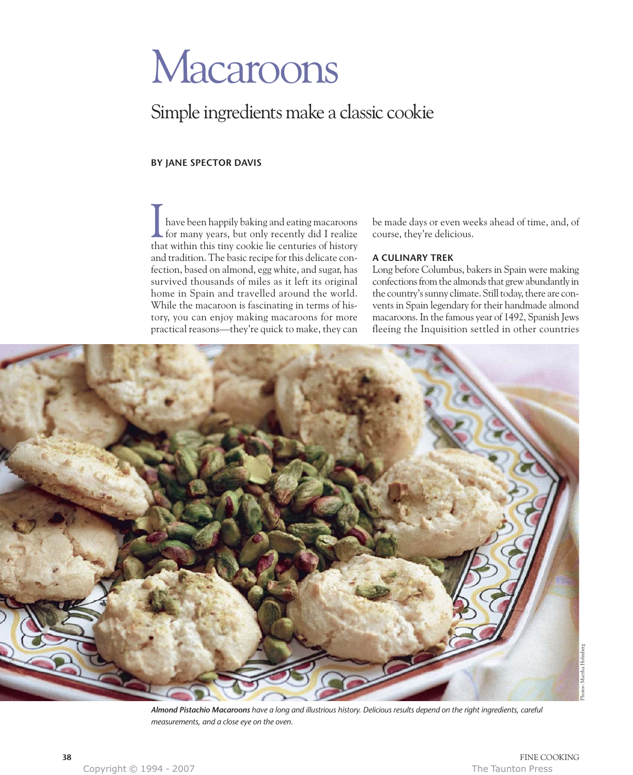# Macaroons

# Simple ingredients make a classic cookie

# **BY JANE SPECTOR DAVIS**

have been happily baking and eating macaroons for many years, but only recently did I realize that within this tiny cookie lie centuries of history and tradition. The basic recipe for this delicate confection, based on almond, egg white, and sugar, has survived thousands of miles as it left its original home in Spain and travelled around the world. While the macaroon is fascinating in terms of history, you can enjoy making macaroons for more practical reasons—they're quick to make, they can I

be made days or even weeks ahead of time, and, of course, they're delicious.

### **A CULINARY TREK**

Long before Columbus, bakers in Spain were making confections from the almonds that grew abundantly in the country's sunny climate. Still today, there are convents in Spain legendary for their handmade almond macaroons. In the famous year of 1492, Spanish Jews fleeing the Inquisition settled in other countries



*Almond Pistachio Macaroons have a long and illustrious history. Delicious results depend on the right ingredients, careful measurements, and a close eye on the oven.*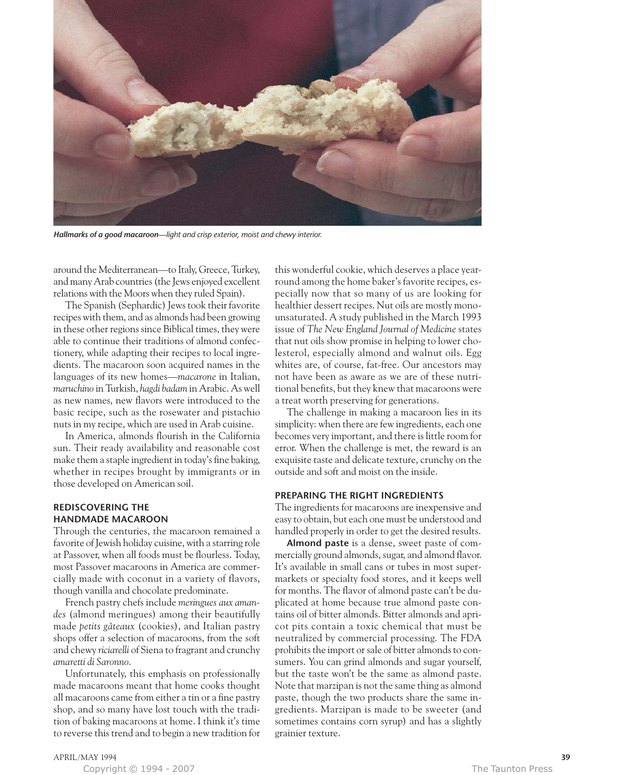

*Hallmarks of a good macaroon—light and crisp exterior, moist and chewy interior.*

around the Mediterranean—to Italy, Greece, Turkey, and many Arab countries (the Jews enjoyed excellent relations with the Moors when they ruled Spain).

The Spanish (Sephardic) Jews took their favorite recipes with them, and as almonds had been growing in these other regions since Biblical times, they were able to continue their traditions of almond confectionery, while adapting their recipes to local ingredients. The macaroon soon acquired names in the languages of its new homes—*macarone* in Italian, *maruchino* in Turkish, *hagdi badam* in Arabic. As well as new names, new flavors were introduced to the basic recipe, such as the rosewater and pistachio nuts in my recipe, which are used in Arab cuisine.

In America, almonds flourish in the California sun. Their ready availability and reasonable cost make them a staple ingredient in today's fine baking, whether in recipes brought by immigrants or in those developed on American soil.

# **REDISCOVERING THE HANDMADE MACAROON**

Through the centuries, the macaroon remained a favorite of Jewish holiday cuisine, with a starring role at Passover, when all foods must be flourless. Today, most Passover macaroons in America are commercially made with coconut in a variety of flavors, though vanilla and chocolate predominate.

French pastry chefs include *meringues aux amandes* (almond meringues) among their beautifully made *petits gâteaux* (cookies), and Italian pastry shops offer a selection of macaroons, from the soft and chewy *riciarelli* of Siena to fragrant and crunchy *amaretti di Saronno*.

Unfortunately, this emphasis on professionally made macaroons meant that home cooks thought all macaroons came from either a tin or a fine pastry shop, and so many have lost touch with the tradition of baking macaroons at home. I think it's time to reverse this trend and to begin a new tradition for this wonderful cookie, which deserves a place yearround among the home baker's favorite recipes, especially now that so many of us are looking for healthier dessert recipes. Nut oils are mostly monounsaturated. A study published in the March 1993 issue of *The New England Journal of Medicine* states that nut oils show promise in helping to lower cholesterol, especially almond and walnut oils. Egg whites are, of course, fat-free. Our ancestors may not have been as aware as we are of these nutritional benefits, but they knew that macaroons were a treat worth preserving for generations.

The challenge in making a macaroon lies in its simplicity: when there are few ingredients, each one becomes very important, and there is little room for error. When the challenge is met, the reward is an exquisite taste and delicate texture, crunchy on the outside and soft and moist on the inside.

#### **PREPARING THE RIGHT INGREDIENTS**

The ingredients for macaroons are inexpensive and easy to obtain, but each one must be understood and handled properly in order to get the desired results.

**Almond paste** is a dense, sweet paste of commercially ground almonds, sugar, and almond flavor. It's available in small cans or tubes in most supermarkets or specialty food stores, and it keeps well for months. The flavor of almond paste can't be duplicated at home because true almond paste contains oil of bitter almonds. Bitter almonds and apricot pits contain a toxic chemical that must be neutralized by commercial processing. The FDA prohibits the import or sale of bitter almonds to consumers. You can grind almonds and sugar yourself, but the taste won't be the same as almond paste. Note that marzipan is not the same thing as almond paste, though the two products share the same ingredients. Marzipan is made to be sweeter (and sometimes contains corn syrup) and has a slightly grainier texture.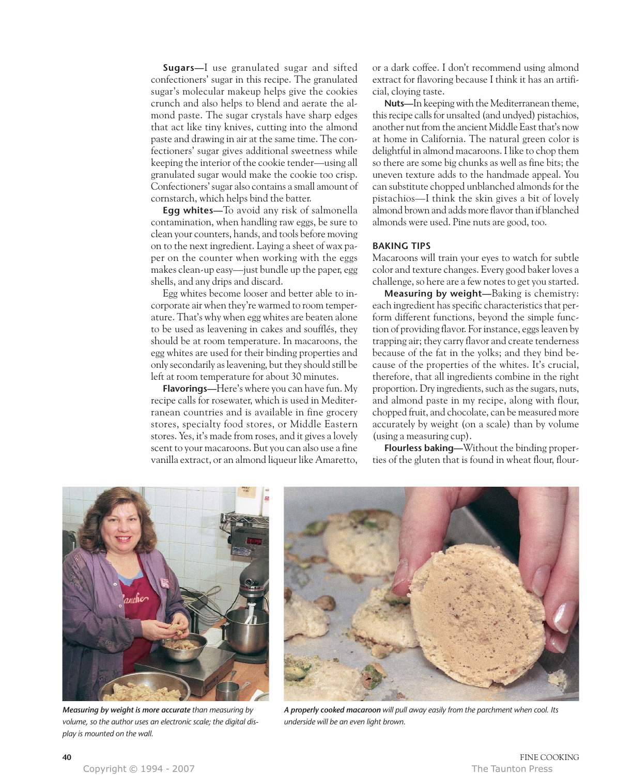**Sugars—**I use granulated sugar and sifted confectioners' sugar in this recipe. The granulated sugar's molecular makeup helps give the cookies crunch and also helps to blend and aerate the almond paste. The sugar crystals have sharp edges that act like tiny knives, cutting into the almond paste and drawing in air at the same time. The confectioners' sugar gives additional sweetness while keeping the interior of the cookie tender—using all granulated sugar would make the cookie too crisp. Confectioners' sugar also contains a small amount of cornstarch, which helps bind the batter.

**Egg whites—**To avoid any risk of salmonella contamination, when handling raw eggs, be sure to clean your counters, hands, and tools before moving on to the next ingredient. Laying a sheet of wax paper on the counter when working with the eggs makes clean-up easy—just bundle up the paper, egg shells, and any drips and discard.

Egg whites become looser and better able to incorporate air when they're warmed to room temperature. That's why when egg whites are beaten alone to be used as leavening in cakes and soufflés, they should be at room temperature. In macaroons, the egg whites are used for their binding properties and only secondarily as leavening, but they should still be left at room temperature for about 30 minutes.

**Flavorings—**Here's where you can have fun. My recipe calls for rosewater, which is used in Mediterranean countries and is available in fine grocery stores, specialty food stores, or Middle Eastern stores. Yes, it's made from roses, and it gives a lovely scent to your macaroons. But you can also use a fine vanilla extract, or an almond liqueur like Amaretto,

or a dark coffee. I don't recommend using almond extract for flavoring because I think it has an artificial, cloying taste.

**Nuts—**In keeping with the Mediterranean theme, this recipe calls for unsalted (and undyed) pistachios, another nut from the ancient Middle East that's now at home in California. The natural green color is delightful in almond macaroons. I like to chop them so there are some big chunks as well as fine bits; the uneven texture adds to the handmade appeal. You can substitute chopped unblanched almonds for the pistachios—I think the skin gives a bit of lovely almond brown and adds more flavor than if blanched almonds were used. Pine nuts are good, too.

#### **BAKING TIPS**

Macaroons will train your eyes to watch for subtle color and texture changes. Every good baker loves a challenge, so here are a few notes to get you started.

**Measuring by weight—**Baking is chemistry: each ingredient has specific characteristics that perform different functions, beyond the simple function of providing flavor. For instance, eggs leaven by trapping air; they carry flavor and create tenderness because of the fat in the yolks; and they bind because of the properties of the whites. It's crucial, therefore, that all ingredients combine in the right proportion. Dry ingredients, such as the sugars, nuts, and almond paste in my recipe, along with flour, chopped fruit, and chocolate, can be measured more accurately by weight (on a scale) than by volume (using a measuring cup).

**Flourless baking—**Without the binding properties of the gluten that is found in wheat flour, flour-



*Measuring by weight is more accurate than measuring by volume, so the author uses an electronic scale; the digital display is mounted on the wall.*



*A properly cooked macaroon will pull away easily from the parchment when cool. Its underside will be an even light brown.*